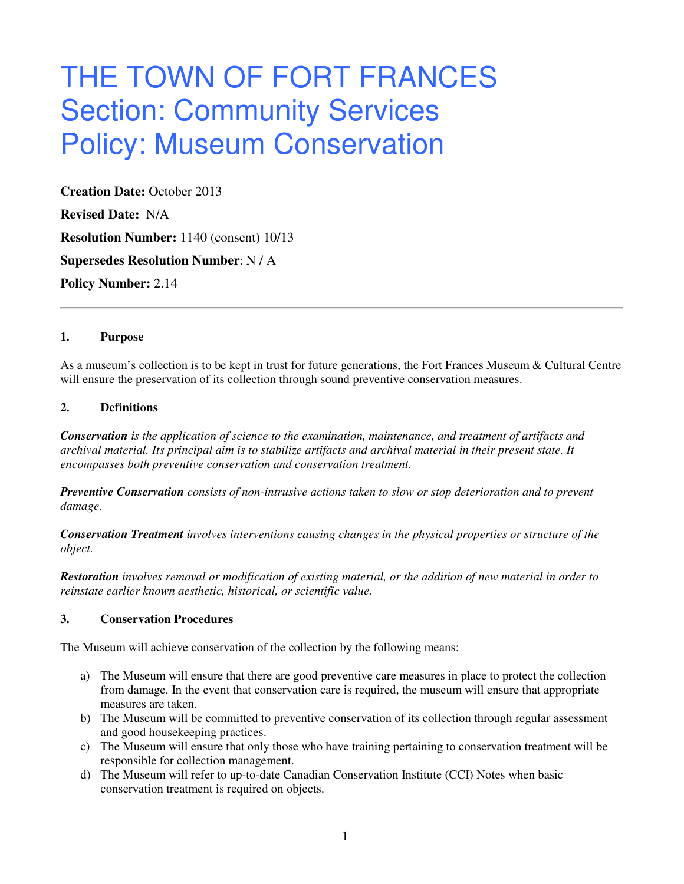# THE TOWN OF FORT FRANCES Section: Community Services Policy: Museum Conservation

**Creation Date:** October 2013 **Revised Date:** N/A **Resolution Number:** 1140 (consent) 10/13 **Supersedes Resolution Number**: N / A **Policy Number:** 2.14

#### **1. Purpose**

As a museum's collection is to be kept in trust for future generations, the Fort Frances Museum & Cultural Centre will ensure the preservation of its collection through sound preventive conservation measures.

### **2. Definitions**

*Conservation is the application of science to the examination, maintenance, and treatment of artifacts and archival material. Its principal aim is to stabilize artifacts and archival material in their present state. It encompasses both preventive conservation and conservation treatment.* 

*Preventive Conservation consists of non-intrusive actions taken to slow or stop deterioration and to prevent damage.* 

*Conservation Treatment involves interventions causing changes in the physical properties or structure of the object.* 

*Restoration involves removal or modification of existing material, or the addition of new material in order to reinstate earlier known aesthetic, historical, or scientific value.* 

## **3. Conservation Procedures**

The Museum will achieve conservation of the collection by the following means:

- a) The Museum will ensure that there are good preventive care measures in place to protect the collection from damage. In the event that conservation care is required, the museum will ensure that appropriate measures are taken.
- b) The Museum will be committed to preventive conservation of its collection through regular assessment and good housekeeping practices.
- c) The Museum will ensure that only those who have training pertaining to conservation treatment will be responsible for collection management.
- d) The Museum will refer to up-to-date Canadian Conservation Institute (CCI) Notes when basic conservation treatment is required on objects.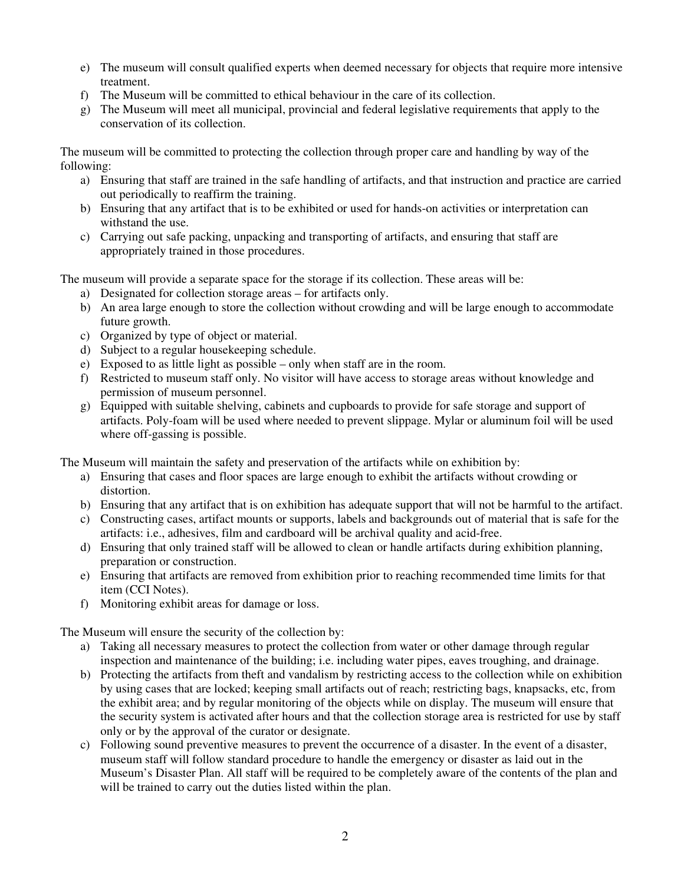- e) The museum will consult qualified experts when deemed necessary for objects that require more intensive treatment.
- f) The Museum will be committed to ethical behaviour in the care of its collection.
- g) The Museum will meet all municipal, provincial and federal legislative requirements that apply to the conservation of its collection.

The museum will be committed to protecting the collection through proper care and handling by way of the following:

- a) Ensuring that staff are trained in the safe handling of artifacts, and that instruction and practice are carried out periodically to reaffirm the training.
- b) Ensuring that any artifact that is to be exhibited or used for hands-on activities or interpretation can withstand the use.
- c) Carrying out safe packing, unpacking and transporting of artifacts, and ensuring that staff are appropriately trained in those procedures.

The museum will provide a separate space for the storage if its collection. These areas will be:

- a) Designated for collection storage areas for artifacts only.
- b) An area large enough to store the collection without crowding and will be large enough to accommodate future growth.
- c) Organized by type of object or material.
- d) Subject to a regular housekeeping schedule.
- e) Exposed to as little light as possible only when staff are in the room.
- f) Restricted to museum staff only. No visitor will have access to storage areas without knowledge and permission of museum personnel.
- g) Equipped with suitable shelving, cabinets and cupboards to provide for safe storage and support of artifacts. Poly-foam will be used where needed to prevent slippage. Mylar or aluminum foil will be used where off-gassing is possible.

The Museum will maintain the safety and preservation of the artifacts while on exhibition by:

- a) Ensuring that cases and floor spaces are large enough to exhibit the artifacts without crowding or distortion.
- b) Ensuring that any artifact that is on exhibition has adequate support that will not be harmful to the artifact.
- c) Constructing cases, artifact mounts or supports, labels and backgrounds out of material that is safe for the artifacts: i.e., adhesives, film and cardboard will be archival quality and acid-free.
- d) Ensuring that only trained staff will be allowed to clean or handle artifacts during exhibition planning, preparation or construction.
- e) Ensuring that artifacts are removed from exhibition prior to reaching recommended time limits for that item (CCI Notes).
- f) Monitoring exhibit areas for damage or loss.

The Museum will ensure the security of the collection by:

- a) Taking all necessary measures to protect the collection from water or other damage through regular inspection and maintenance of the building; i.e. including water pipes, eaves troughing, and drainage.
- b) Protecting the artifacts from theft and vandalism by restricting access to the collection while on exhibition by using cases that are locked; keeping small artifacts out of reach; restricting bags, knapsacks, etc, from the exhibit area; and by regular monitoring of the objects while on display. The museum will ensure that the security system is activated after hours and that the collection storage area is restricted for use by staff only or by the approval of the curator or designate.
- c) Following sound preventive measures to prevent the occurrence of a disaster. In the event of a disaster, museum staff will follow standard procedure to handle the emergency or disaster as laid out in the Museum's Disaster Plan. All staff will be required to be completely aware of the contents of the plan and will be trained to carry out the duties listed within the plan.